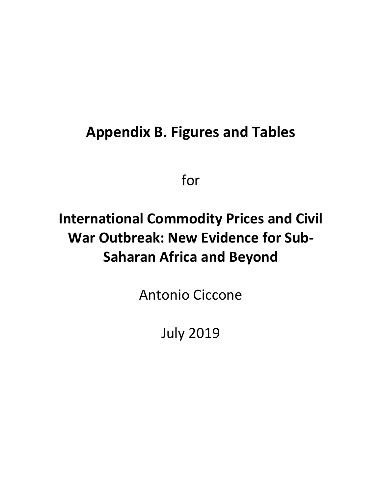## **Appendix B. Figures and Tables**

for

# **International Commodity Prices and Civil War Outbreak: New Evidence for Sub‐ Saharan Africa and Beyond**

Antonio Ciccone

July 2019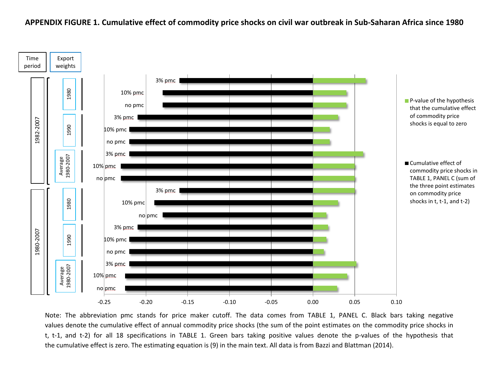### **APPENDIX FIGURE 1. Cumulative effect of commodity price shocks on civil war outbreak in Sub-Saharan Africa since 1980**



Note: The abbreviation pmc stands for price maker cutoff. The data comes from TABLE 1, PANEL C. Black bars taking negative values denote the cumulative effect of annual commodity price shocks (the sum of the point estimates on the commodity price shocks in t, t-1, and t-2) for all 18 specifications in TABLE 1. Green bars taking positive values denote the p-values of the hypothesis that the cumulative effect is zero. The estimating equation is (9) in the main text. All data is from Bazzi and Blattman (2014).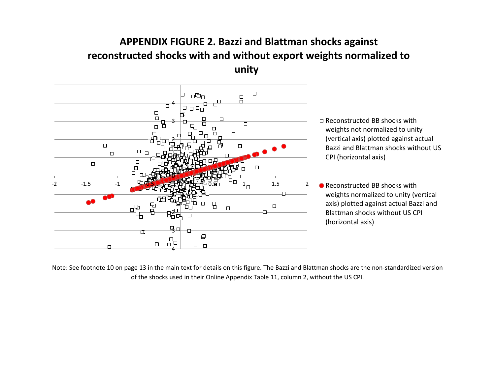## **APPENDIX FIGURE 2. Bazzi and Blattman shocks against reconstructed shocks with and without export weights normalized to unity**



□ Reconstructed BB shocks with weights not normalized to unity (vertical axis) plotted against actual Bazzi and Blattman shocks without US CPI (horizontal axis)

● Reconstructed BB shocks with weights normalized to unity (vertical axis) plotted against actual Bazzi and Blattman shocks without US CPI (horizontal axis)

Note: See footnote 10 on page 13 in the main text for details on this figure. The Bazzi and Blattman shocks are the non-standardized version of the shocks used in their Online Appendix Table 11, column 2, without the US CPI.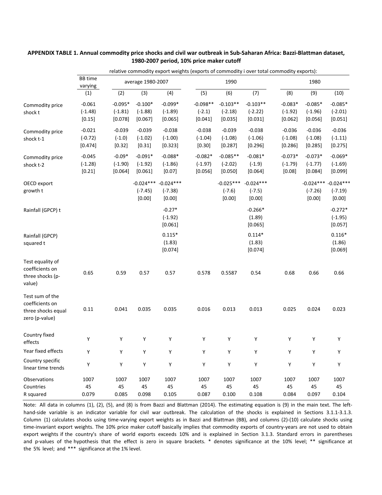|                    |                           |           |                   | relative commodity export weights (exports of commodity i over total commodity exports): |            |             |             |           |           |                         |
|--------------------|---------------------------|-----------|-------------------|------------------------------------------------------------------------------------------|------------|-------------|-------------|-----------|-----------|-------------------------|
|                    | <b>BB</b> time<br>varying |           | average 1980-2007 |                                                                                          |            | 1990        |             |           | 1980      |                         |
|                    | (1)                       | (2)       | (3)               | (4)                                                                                      | (5)        | (6)         | (7)         | (8)       | (9)       | (10)                    |
| Commodity price    | $-0.061$                  | $-0.095*$ | $-0.100*$         | $-0.099*$                                                                                | $-0.098**$ | $-0.103**$  | $-0.103**$  | $-0.083*$ | $-0.085*$ | $-0.085*$               |
| shock t            | $(-1.48)$                 | $(-1.81)$ | $(-1.88)$         | $(-1.89)$                                                                                | $(-2.1)$   | $(-2.18)$   | $(-2.22)$   | $(-1.92)$ | $(-1.96)$ | $(-2.01)$               |
|                    | [0.15]                    | [0.078]   | [0.067]           | [0.065]                                                                                  | [0.041]    | [0.035]     | [0.031]     | [0.062]   | [0.056]   | [0.051]                 |
| Commodity price    | $-0.021$                  | $-0.039$  | $-0.039$          | $-0.038$                                                                                 | $-0.038$   | $-0.039$    | $-0.038$    | $-0.036$  | $-0.036$  | $-0.036$                |
| shock t-1          | $(-0.72)$                 | $(-1.0)$  | $(-1.02)$         | $(-1.00)$                                                                                | $(-1.04)$  | $(-1.08)$   | $(-1.06)$   | $(-1.08)$ | $(-1.08)$ | $(-1.11)$               |
|                    | [0.474]                   | [0.32]    | [0.31]            | [0.323]                                                                                  | [0.30]     | [0.287]     | [0.296]     | [0.286]   | [0.285]   | [0.275]                 |
| Commodity price    | $-0.045$                  | $-0.09*$  | $-0.091*$         | $-0.088*$                                                                                | $-0.082*$  | $-0.085**$  | $-0.081*$   | $-0.073*$ | $-0.073*$ | $-0.069*$               |
| shock t-2          | $(-1.28)$                 | $(-1.90)$ | $(-1.92)$         | $(-1.86)$                                                                                | $(-1.97)$  | $(-2.02)$   | $(-1.9)$    | $(-1.79)$ | $(-1.77)$ | $(-1.69)$               |
|                    | [0.21]                    | [0.064]   | [0.061]           | [0.07]                                                                                   | [0.056]    | [0.050]     | [0.064]     | [0.08]    | [0.084]   | [0.099]                 |
| OECD export        |                           |           | $-0.024***$       | $-0.024***$                                                                              |            | $-0.025***$ | $-0.024***$ |           |           | $-0.024***$ $-0.024***$ |
| growth t           |                           |           | $(-7.45)$         | $(-7.38)$                                                                                |            | $(-7.6)$    | $(-7.5)$    |           | $(-7.26)$ | $(-7.19)$               |
|                    |                           |           | [0.00]            | [0.00]                                                                                   |            | [0.00]      | [0.00]      |           | [0.00]    | [0.00]                  |
| Rainfall (GPCP) t  |                           |           |                   | $-0.27*$                                                                                 |            |             | $-0.266*$   |           |           | $-0.272*$               |
|                    |                           |           |                   | $(-1.92)$                                                                                |            |             | (1.89)      |           |           | $(-1.95)$               |
|                    |                           |           |                   | [0.061]                                                                                  |            |             | [0.065]     |           |           | [0.057]                 |
| Rainfall (GPCP)    |                           |           |                   | $0.115*$                                                                                 |            |             | $0.114*$    |           |           | $0.116*$                |
| squared t          |                           |           |                   | (1.83)                                                                                   |            |             | (1.83)      |           |           | (1.86)                  |
|                    |                           |           |                   | [0.074]                                                                                  |            |             | [0.074]     |           |           | [0.069]                 |
| Test equality of   |                           |           |                   |                                                                                          |            |             |             |           |           |                         |
| coefficients on    | 0.65                      | 0.59      | 0.57              | 0.57                                                                                     | 0.578      | 0.5587      | 0.54        | 0.68      | 0.66      | 0.66                    |
| three shocks (p-   |                           |           |                   |                                                                                          |            |             |             |           |           |                         |
| value)             |                           |           |                   |                                                                                          |            |             |             |           |           |                         |
| Test sum of the    |                           |           |                   |                                                                                          |            |             |             |           |           |                         |
| coefficients on    |                           |           |                   |                                                                                          |            |             |             |           |           |                         |
| three shocks equal | 0.11                      | 0.041     | 0.035             | 0.035                                                                                    | 0.016      | 0.013       | 0.013       | 0.025     | 0.024     | 0.023                   |
| zero (p-value)     |                           |           |                   |                                                                                          |            |             |             |           |           |                         |
| Country fixed      |                           |           |                   |                                                                                          |            |             |             |           |           |                         |
| effects            | Υ                         | Υ         | Y                 | Υ                                                                                        | Υ          | Υ           | Υ           | Y         | Υ         | Υ                       |
| Year fixed effects | Y                         | Υ         | Y                 | Υ                                                                                        | Υ          | Y           | Y           | Y         | Y         | Y                       |
| Country specific   | Υ                         | Υ         | Υ                 | Υ                                                                                        | Υ          | Υ           | Υ           | Y         | Υ         | Υ                       |
| linear time trends |                           |           |                   |                                                                                          |            |             |             |           |           |                         |
| Observations       | 1007                      | 1007      | 1007              | 1007                                                                                     | 1007       | 1007        | 1007        | 1007      | 1007      | 1007                    |
| Countries          | 45                        | 45        | 45                | 45                                                                                       | 45         | 45          | 45          | 45        | 45        | 45                      |
| R squared          | 0.079                     | 0.085     | 0.098             | 0.105                                                                                    | 0.087      | 0.100       | 0.108       | 0.084     | 0.097     | 0.104                   |

### APPENDIX TABLE 1. Annual commodity price shocks and civil war outbreak in Sub-Saharan Africa: Bazzi-Blattman dataset, **1980‐2007 period, 10% price maker cutoff**

Note: All data in columns (1), (2), (5), and (8) is from Bazzi and Blattman (2014). The estimating equation is (9) in the main text. The lefthand-side variable is an indicator variable for civil war outbreak. The calculation of the shocks is explained in Sections 3.1.1-3.1.3. Column (1) calculates shocks using time‐varying export weights as in Bazzi and Blattman (BB), and columns (2)‐(10) calculate shocks using time-invariant export weights. The 10% price maker cutoff basically implies that commodity exports of country-years are not used to obtain export weights if the country's share of world exports exceeds 10% and is explained in Section 3.1.3. Standard errors in parentheses and p-values of the hypothesis that the effect is zero in square brackets. \* denotes significance at the 10% level; \*\* significance at the 5% level; and \*\*\* significance at the 1% level.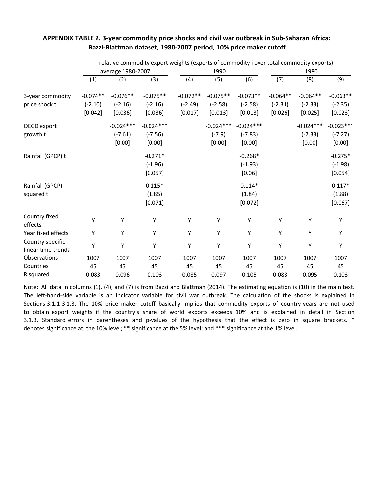|                                        |            |                   | relative commodity export weights (exports of commodity i over total commodity exports): |            |             |             |            |             |             |
|----------------------------------------|------------|-------------------|------------------------------------------------------------------------------------------|------------|-------------|-------------|------------|-------------|-------------|
|                                        |            | average 1980-2007 |                                                                                          |            | 1990        |             |            | 1980        |             |
|                                        | (1)        | (2)               | (3)                                                                                      | (4)        | (5)         | (6)         | (7)        | (8)         | (9)         |
| 3-year commodity                       | $-0.074**$ | $-0.076**$        | $-0.075**$                                                                               | $-0.072**$ | $-0.075**$  | $-0.073**$  | $-0.064**$ | $-0.064**$  | $-0.063**$  |
| price shock t                          | $(-2.10)$  | $(-2.16)$         | $(-2.16)$                                                                                | $(-2.49)$  | $(-2.58)$   | $(-2.58)$   | $(-2.31)$  | $(-2.33)$   | $(-2.35)$   |
|                                        | [0.042]    | [0.036]           | [0.036]                                                                                  | [0.017]    | [0.013]     | [0.013]     | [0.026]    | [0.025]     | [0.023]     |
| OECD export                            |            | $-0.024***$       | $-0.024***$                                                                              |            | $-0.024***$ | $-0.024***$ |            | $-0.024***$ | $-0.023$ ** |
| growth t                               |            | $(-7.61)$         | $(-7.56)$                                                                                |            | $(-7.9)$    | $(-7.83)$   |            | $(-7.33)$   | $(-7.27)$   |
|                                        |            | [0.00]            | [0.00]                                                                                   |            | [0.00]      | [0.00]      |            | [0.00]      | [0.00]      |
| Rainfall (GPCP) t                      |            |                   | $-0.271*$                                                                                |            |             | $-0.268*$   |            |             | $-0.275*$   |
|                                        |            |                   | $(-1.96)$                                                                                |            |             | $(-1.93)$   |            |             | $(-1.98)$   |
|                                        |            |                   | [0.057]                                                                                  |            |             | [0.06]      |            |             | [0.054]     |
| Rainfall (GPCP)                        |            |                   | $0.115*$                                                                                 |            |             | $0.114*$    |            |             | $0.117*$    |
| squared t                              |            |                   | (1.85)                                                                                   |            |             | (1.84)      |            |             | (1.88)      |
|                                        |            |                   | [0.071]                                                                                  |            |             | [0.072]     |            |             | [0.067]     |
| Country fixed<br>effects               | Y          | Υ                 | Υ                                                                                        | Υ          | Υ           | Υ           | Υ          | Υ           | Υ           |
| Year fixed effects                     | Y          | Υ                 | Y                                                                                        | Y          | Υ           | Y           | Υ          | Υ           | Y           |
| Country specific<br>linear time trends | Υ          | Υ                 | Υ                                                                                        | Υ          | Υ           | Υ           | Υ          | Υ           | Υ           |
| Observations                           | 1007       | 1007              | 1007                                                                                     | 1007       | 1007        | 1007        | 1007       | 1007        | 1007        |
| Countries                              | 45         | 45                | 45                                                                                       | 45         | 45          | 45          | 45         | 45          | 45          |
| R squared                              | 0.083      | 0.096             | 0.103                                                                                    | 0.085      | 0.097       | 0.105       | 0.083      | 0.095       | 0.103       |

### APPENDIX TABLE 2. 3-year commodity price shocks and civil war outbreak in Sub-Saharan Africa: **Bazzi‐Blattman dataset, 1980‐2007 period, 10% price maker cutoff**

Note: All data in columns (1), (4), and (7) is from Bazzi and Blattman (2014). The estimating equation is (10) in the main text. The left‐hand‐side variable is an indicator variable for civil war outbreak. The calculation of the shocks is explained in Sections 3.1.1‐3.1.3. The 10% price maker cutoff basically implies that commodity exports of country‐years are not used to obtain export weights if the country's share of world exports exceeds 10% and is explained in detail in Section 3.1.3. Standard errors in parentheses and p-values of the hypothesis that the effect is zero in square brackets. \* denotes significance at the 10% level; \*\* significance at the 5% level; and \*\*\* significance at the 1% level.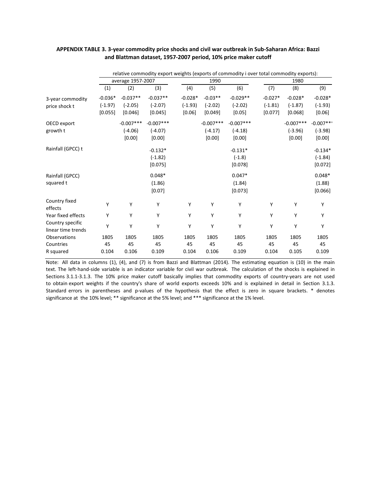|           |             |             |                   | 1990        |             |           | 1980        |                                                                                          |
|-----------|-------------|-------------|-------------------|-------------|-------------|-----------|-------------|------------------------------------------------------------------------------------------|
| (1)       | (2)         | (3)         | (4)               | (5)         | (6)         | (7)       | (8)         | (9)                                                                                      |
| $-0.036*$ | $-0.037**$  | $-0.037**$  | $-0.028*$         | $-0.03**$   | $-0.029**$  | $-0.027*$ | $-0.028*$   | $-0.028*$                                                                                |
| $(-1.97)$ | $(-2.05)$   | $(-2.07)$   | $(-1.93)$         | $(-2.02)$   | $(-2.02)$   | $(-1.81)$ | $(-1.87)$   | $(-1.93)$                                                                                |
| [0.055]   | [0.046]     | [0.045]     | [0.06]            | [0.049]     | [0.05]      | [0.077]   | [0.068]     | [0.06]                                                                                   |
|           | $-0.007***$ | $-0.007***$ |                   | $-0.007***$ | $-0.007***$ |           | $-0.007***$ | $-0.007***$                                                                              |
|           | $(-4.06)$   | $(-4.07)$   |                   | $(-4.17)$   | $(-4.18)$   |           | $(-3.96)$   | $(-3.98)$                                                                                |
|           | [0.00]      | [0.00]      |                   | [0.00]      | [0.00]      |           | [0.00]      | [0.00]                                                                                   |
|           |             | $-0.132*$   |                   |             | $-0.131*$   |           |             | $-0.134*$                                                                                |
|           |             | $(-1.82)$   |                   |             | $(-1.8)$    |           |             | $(-1.84)$                                                                                |
|           |             | [0.075]     |                   |             | [0.078]     |           |             | [0.072]                                                                                  |
|           |             | $0.048*$    |                   |             | $0.047*$    |           |             | $0.048*$                                                                                 |
|           |             | (1.86)      |                   |             | (1.84)      |           |             | (1.88)                                                                                   |
|           |             | [0.07]      |                   |             | [0.073]     |           |             | [0.066]                                                                                  |
| Y         | Υ           | Υ           | Υ                 | Y           | Υ           | Υ         | Υ           | Υ                                                                                        |
| Υ         | Υ           | Υ           | Υ                 | Y           | Υ           | Y         | Υ           | Y                                                                                        |
| Y         | Υ           | Υ           | Υ                 | Υ           | Υ           | Υ         | Υ           | Y                                                                                        |
| 1805      | 1805        | 1805        | 1805              | 1805        | 1805        | 1805      | 1805        | 1805                                                                                     |
| 45        | 45          | 45          | 45                | 45          | 45          | 45        | 45          | 45                                                                                       |
| 0.104     | 0.106       | 0.109       | 0.104             | 0.106       | 0.109       | 0.104     | 0.105       | 0.109                                                                                    |
|           |             |             | average 1957-2007 |             |             |           |             | relative commodity export weights (exports of commodity i over total commodity exports): |

### APPENDIX TABLE 3. 3-year commodity price shocks and civil war outbreak in Sub-Saharan Africa: Bazzi **and Blattman dataset, 1957‐2007 period, 10% price maker cutoff**

Note: All data in columns (1), (4), and (7) is from Bazzi and Blattman (2014). The estimating equation is (10) in the main text. The left‐hand‐side variable is an indicator variable for civil war outbreak. The calculation of the shocks is explained in Sections 3.1.1‐3.1.3. The 10% price maker cutoff basically implies that commodity exports of country‐years are not used to obtain export weights if the country's share of world exports exceeds 10% and is explained in detail in Section 3.1.3. Standard errors in parentheses and p-values of the hypothesis that the effect is zero in square brackets. \* denotes significance at the 10% level; \*\* significance at the 5% level; and \*\*\* significance at the 1% level.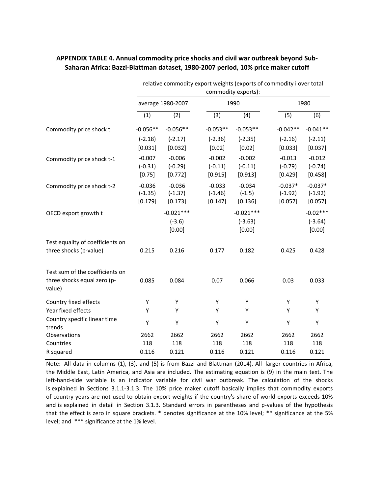|                                                                          |                                  |                                   |                                  | relative commodity export weights (exports of commodity i over total<br>commodity exports): |                                   |                                   |
|--------------------------------------------------------------------------|----------------------------------|-----------------------------------|----------------------------------|---------------------------------------------------------------------------------------------|-----------------------------------|-----------------------------------|
|                                                                          |                                  | average 1980-2007                 |                                  | 1990                                                                                        |                                   | 1980                              |
|                                                                          | (1)                              | (2)                               | (3)                              | (4)                                                                                         | (5)                               | (6)                               |
| Commodity price shock t                                                  | $-0.056**$                       | $-0.056**$                        | $-0.053**$                       | $-0.053**$                                                                                  | $-0.042**$                        | $-0.041**$                        |
|                                                                          | $(-2.18)$<br>[0.031]             | $(-2.17)$<br>[0.032]              | $(-2.36)$<br>[0.02]              | $(-2.35)$<br>[0.02]                                                                         | $(-2.16)$<br>[0.033]              | $(-2.11)$<br>[0.037]              |
| Commodity price shock t-1                                                | $-0.007$<br>$(-0.31)$<br>[0.75]  | $-0.006$<br>$(-0.29)$<br>[0.772]  | $-0.002$<br>$(-0.11)$<br>[0.915] | $-0.002$<br>$(-0.11)$<br>[0.913]                                                            | $-0.013$<br>$(-0.79)$<br>[0.429]  | $-0.012$<br>$(-0.74)$<br>[0.458]  |
| Commodity price shock t-2                                                | $-0.036$<br>$(-1.35)$<br>[0.179] | $-0.036$<br>$(-1.37)$<br>[0.173]  | $-0.033$<br>$(-1.46)$<br>[0.147] | $-0.034$<br>$(-1.5)$<br>[0.136]                                                             | $-0.037*$<br>$(-1.92)$<br>[0.057] | $-0.037*$<br>$(-1.92)$<br>[0.057] |
| OECD export growth t                                                     |                                  | $-0.021***$<br>$(-3.6)$<br>[0.00] |                                  | $-0.021***$<br>$(-3.63)$<br>[0.00]                                                          |                                   | $-0.02***$<br>$(-3.64)$<br>[0.00] |
| Test equality of coefficients on                                         |                                  |                                   |                                  |                                                                                             |                                   |                                   |
| three shocks (p-value)                                                   | 0.215                            | 0.216                             | 0.177                            | 0.182                                                                                       | 0.425                             | 0.428                             |
| Test sum of the coefficients on<br>three shocks equal zero (p-<br>value) | 0.085                            | 0.084                             | 0.07                             | 0.066                                                                                       | 0.03                              | 0.033                             |
| Country fixed effects                                                    | Y                                | Υ                                 | Υ                                | Y                                                                                           | Υ                                 | Υ                                 |
| Year fixed effects                                                       | Y                                | Υ                                 | Υ                                | Y                                                                                           | Υ                                 | Y                                 |
| Country specific linear time<br>trends                                   | Υ                                | Υ                                 | Υ                                | Υ                                                                                           | Υ                                 | Υ                                 |
| Observations                                                             | 2662                             | 2662                              | 2662                             | 2662                                                                                        | 2662                              | 2662                              |
| Countries                                                                | 118                              | 118                               | 118                              | 118                                                                                         | 118                               | 118                               |
| R squared                                                                | 0.116                            | 0.121                             | 0.116                            | 0.121                                                                                       | 0.116                             | 0.121                             |

### **APPENDIX TABLE 4. Annual commodity price shocks and civil war outbreak beyond Sub‐ Saharan Africa: Bazzi‐Blattman dataset, 1980‐2007 period, 10% price maker cutoff**

Note: All data in columns (1), (3), and (5) is from Bazzi and Blattman (2014). All larger countries in Africa, the Middle East, Latin America, and Asia are included. The estimating equation is (9) in the main text. The left-hand-side variable is an indicator variable for civil war outbreak. The calculation of the shocks is explained in Sections 3.1.1‐3.1.3. The 10% price maker cutoff basically implies that commodity exports of country‐years are not used to obtain export weights if the country's share of world exports exceeds 10% and is explained in detail in Section 3.1.3. Standard errors in parentheses and p-values of the hypothesis that the effect is zero in square brackets. \* denotes significance at the 10% level; \*\* significance at the 5% level; and \*\*\* significance at the 1% level.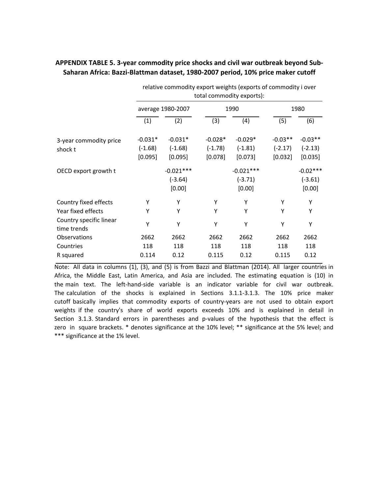|                                        | relative commodity export weights (exports of commodity i over<br>total commodity exports): |             |           |             |           |            |  |  |
|----------------------------------------|---------------------------------------------------------------------------------------------|-------------|-----------|-------------|-----------|------------|--|--|
|                                        | average 1980-2007                                                                           |             |           | 1990        | 1980      |            |  |  |
|                                        | (1)                                                                                         | (2)         | (3)       | (4)         | (5)       | (6)        |  |  |
| 3-year commodity price                 | $-0.031*$                                                                                   | $-0.031*$   | $-0.028*$ | $-0.029*$   | $-0.03**$ | $-0.03**$  |  |  |
| shock t                                | $(-1.68)$                                                                                   | $(-1.68)$   | $(-1.78)$ | $(-1.81)$   | $(-2.17)$ | $(-2.13)$  |  |  |
|                                        | [0.095]                                                                                     | [0.095]     | [0.078]   | [0.073]     | [0.032]   | [0.035]    |  |  |
| OECD export growth t                   |                                                                                             | $-0.021***$ |           | $-0.021***$ |           | $-0.02***$ |  |  |
|                                        |                                                                                             | $(-3.64)$   |           | $(-3.71)$   |           | $(-3.61)$  |  |  |
|                                        |                                                                                             | [0.00]      |           | [0.00]      |           | [0.00]     |  |  |
| Country fixed effects                  | Υ                                                                                           | Υ           | Υ         | Υ           | Υ         | Υ          |  |  |
| Year fixed effects                     | Υ                                                                                           | Υ           | Υ         | Υ           | Υ         | Υ          |  |  |
| Country specific linear<br>time trends | Υ                                                                                           | Υ           | Υ         | Y           | Υ         | Υ          |  |  |
| Observations                           | 2662                                                                                        | 2662        | 2662      | 2662        | 2662      | 2662       |  |  |
| Countries                              | 118                                                                                         | 118         | 118       | 118         | 118       | 118        |  |  |
| R squared                              | 0.114                                                                                       | 0.12        | 0.115     | 0.12        | 0.115     | 0.12       |  |  |

### **APPENDIX TABLE 5. 3‐year commodity price shocks and civil war outbreak beyond Sub‐ Saharan Africa: Bazzi‐Blattman dataset, 1980‐2007 period, 10% price maker cutoff**

Note: All data in columns (1), (3), and (5) is from Bazzi and Blattman (2014). All larger countries in Africa, the Middle East, Latin America, and Asia are included. The estimating equation is (10) in the main text. The left-hand-side variable is an indicator variable for civil war outbreak. The calculation of the shocks is explained in Sections 3.1.1‐3.1.3. The 10% price maker cutoff basically implies that commodity exports of country‐years are not used to obtain export weights if the country's share of world exports exceeds 10% and is explained in detail in Section 3.1.3. Standard errors in parentheses and p-values of the hypothesis that the effect is zero in square brackets. \* denotes significance at the 10% level; \*\* significance at the 5% level; and \*\*\* significance at the 1% level.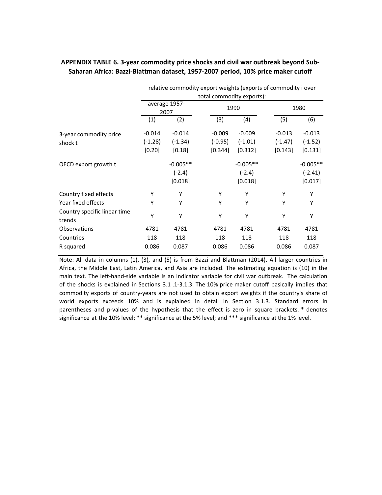|                                        |                       | relative commodity export weights (exports of commodity i over |           |                           |           |            |  |  |  |  |
|----------------------------------------|-----------------------|----------------------------------------------------------------|-----------|---------------------------|-----------|------------|--|--|--|--|
|                                        |                       |                                                                |           | total commodity exports): |           |            |  |  |  |  |
|                                        | average 1957-<br>2007 |                                                                |           | 1990                      | 1980      |            |  |  |  |  |
|                                        | (1)                   | (2)                                                            | (3)       | (4)                       | (5)       | (6)        |  |  |  |  |
| 3-year commodity price                 | $-0.014$              | $-0.014$                                                       | $-0.009$  | $-0.009$                  | $-0.013$  | $-0.013$   |  |  |  |  |
| shock t                                | $(-1.28)$             | $(-1.34)$                                                      | $(-0.95)$ | $(-1.01)$                 | $(-1.47)$ | $(-1.52)$  |  |  |  |  |
|                                        | [0.20]                | [0.18]                                                         | [0.344]   | [0.312]                   | [0.143]   | [0.131]    |  |  |  |  |
| OECD export growth t                   |                       | $-0.005**$                                                     |           | $-0.005**$                |           | $-0.005**$ |  |  |  |  |
|                                        |                       | $(-2.4)$                                                       |           | $(-2.4)$                  |           | $(-2.41)$  |  |  |  |  |
|                                        |                       | [0.018]                                                        |           | [0.018]                   |           | [0.017]    |  |  |  |  |
| Country fixed effects                  | Y                     | Υ                                                              | Υ         | Υ                         | Υ         | Υ          |  |  |  |  |
| Year fixed effects                     | Y                     | Υ                                                              | Υ         | Υ                         | Υ         | Y          |  |  |  |  |
| Country specific linear time<br>trends | Y                     | Υ                                                              | Υ         | Υ                         | Υ         | Y          |  |  |  |  |
| Observations                           | 4781                  | 4781                                                           | 4781      | 4781                      | 4781      | 4781       |  |  |  |  |
| Countries                              | 118                   | 118                                                            | 118       | 118                       | 118       | 118        |  |  |  |  |
| R squared                              | 0.086                 | 0.087                                                          | 0.086     | 0.086                     | 0.086     | 0.087      |  |  |  |  |

### **APPENDIX TABLE 6. 3‐year commodity price shocks and civil war outbreak beyond Sub‐ Saharan Africa: Bazzi‐Blattman dataset, 1957‐2007 period, 10% price maker cutoff**

Note: All data in columns (1), (3), and (5) is from Bazzi and Blattman (2014). All larger countries in Africa, the Middle East, Latin America, and Asia are included. The estimating equation is (10) in the main text. The left-hand-side variable is an indicator variable for civil war outbreak. The calculation of the shocks is explained in Sections 3.1 .1‐3.1.3. The 10% price maker cutoff basically implies that commodity exports of country‐years are not used to obtain export weights if the country's share of world exports exceeds 10% and is explained in detail in Section 3.1.3. Standard errors in parentheses and p-values of the hypothesis that the effect is zero in square brackets. \* denotes significance at the 10% level; \*\* significance at the 5% level; and \*\*\* significance at the 1% level.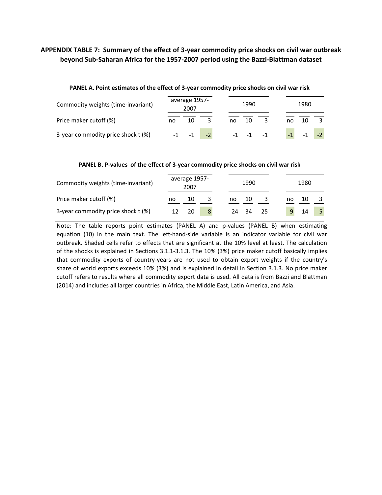### APPENDIX TABLE 7: Summary of the effect of 3-year commodity price shocks on civil war outbreak **beyond Sub‐Saharan Africa for the 1957‐2007 period using the Bazzi‐Blattman dataset**

| Commodity weights (time-invariant) | average 1957-<br>2007 |    | 1990 |      |      |  | 1980 |      |    |  |
|------------------------------------|-----------------------|----|------|------|------|--|------|------|----|--|
| Price maker cutoff (%)             | no                    | 10 |      | no   | 10   |  | no   |      | 10 |  |
| 3-year commodity price shock t (%) |                       |    |      | $-1$ | $-1$ |  |      | $-1$ |    |  |

### **PANEL A. Point estimates of the effect of 3‐year commodity price shocks on civil war risk**

### **PANEL B. P‐values of the effect of 3‐year commodity price shocks on civil war risk**

| Commodity weights (time-invariant) |    | average 1957-<br>2007 |    | 1990 |      |    | 1980 |  |
|------------------------------------|----|-----------------------|----|------|------|----|------|--|
| Price maker cutoff (%)             | no | 10                    | no | 10   |      | no | 10   |  |
| 3-year commodity price shock t (%) |    | 20                    | 24 | - 34 | - 25 |    | 14   |  |

Note: The table reports point estimates (PANEL A) and p-values (PANEL B) when estimating equation (10) in the main text. The left-hand-side variable is an indicator variable for civil war outbreak. Shaded cells refer to effects that are significant at the 10% level at least. The calculation of the shocks is explained in Sections 3.1.1‐3.1.3. The 10% (3%) price maker cutoff basically implies that commodity exports of country‐years are not used to obtain export weights if the country's share of world exports exceeds 10% (3%) and is explained in detail in Section 3.1.3. No price maker cutoff refers to results where all commodity export data is used. All data is from Bazzi and Blattman (2014) and includes all larger countries in Africa, the Middle East, Latin America, and Asia.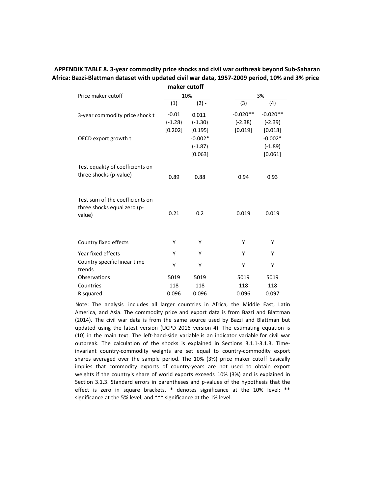#### **APPENDIX TABLE 8. 3‐year commodity price shocks and civil war outbreak beyond Sub‐Saharan Africa: Bazzi‐Blattman dataset with updated civil war data, 1957‐2009 period, 10% and 3% price maker cutoff**

|                                                                          | maker cuton |           |            |            |
|--------------------------------------------------------------------------|-------------|-----------|------------|------------|
| Price maker cutoff                                                       |             | 10%       |            | 3%         |
|                                                                          | (1)         | $(2) -$   | (3)        | (4)        |
| 3-year commodity price shock t                                           | $-0.01$     | 0.011     | $-0.020**$ | $-0.020**$ |
|                                                                          | $(-1.28)$   | $(-1.30)$ | $(-2.38)$  | $(-2.39)$  |
|                                                                          | [0.202]     | [0.195]   | [0.019]    | [0.018]    |
| OECD export growth t                                                     |             | $-0.002*$ |            | $-0.002*$  |
|                                                                          |             | $(-1.87)$ |            | $(-1.89)$  |
|                                                                          |             | [0.063]   |            | [0.061]    |
| Test equality of coefficients on                                         |             |           |            |            |
| three shocks (p-value)                                                   | 0.89        | 0.88      | 0.94       | 0.93       |
|                                                                          |             |           |            |            |
| Test sum of the coefficients on<br>three shocks equal zero (p-<br>value) | 0.21        | 0.2       | 0.019      | 0.019      |
|                                                                          |             |           |            |            |
| Country fixed effects                                                    | Υ           | Y         | Υ          | Υ          |
|                                                                          |             |           |            |            |
| Year fixed effects                                                       | Υ           | Υ         | Υ          | Υ          |
| Country specific linear time<br>trends                                   | Υ           | Υ         | Υ          | Υ          |
| Observations                                                             | 5019        | 5019      | 5019       | 5019       |
| Countries                                                                | 118         | 118       | 118        | 118        |
| R squared                                                                | 0.096       | 0.096     | 0.096      | 0.097      |

Note: The analysis includes all larger countries in Africa, the Middle East, Latin America, and Asia. The commodity price and export data is from Bazzi and Blattman (2014). The civil war data is from the same source used by Bazzi and Blattman but updated using the latest version (UCPD 2016 version 4). The estimating equation is (10) in the main text. The left‐hand‐side variable is an indicator variable for civil war outbreak. The calculation of the shocks is explained in Sections 3.1.1‐3.1.3. Time‐ invariant country‐commodity weights are set equal to country‐commodity export shares averaged over the sample period. The 10% (3%) price maker cutoff basically implies that commodity exports of country-years are not used to obtain export weights if the country's share of world exports exceeds 10% (3%) and is explained in Section 3.1.3. Standard errors in parentheses and p-values of the hypothesis that the effect is zero in square brackets. \* denotes significance at the 10% level; \*\* significance at the 5% level; and \*\*\* significance at the 1% level.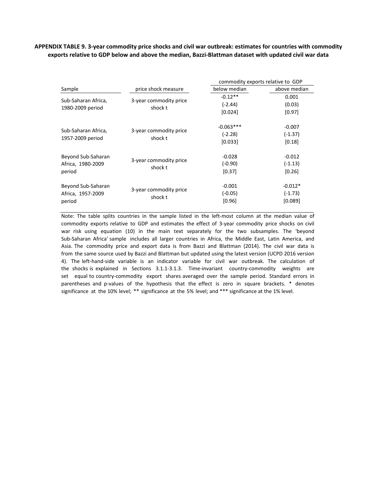### APPENDIX TABLE 9. 3-year commodity price shocks and civil war outbreak: estimates for countries with commodity **exports relative to GDP below and above the median, Bazzi‐Blattman dataset with updated civil war data**

|                     |                                   | commodity exports relative to GDP |              |  |  |  |
|---------------------|-----------------------------------|-----------------------------------|--------------|--|--|--|
| Sample              | price shock measure               | below median                      | above median |  |  |  |
|                     |                                   | $-0.12**$                         | 0.001        |  |  |  |
| Sub-Saharan Africa, | 3-year commodity price<br>shock t | $(-2.44)$                         | (0.03)       |  |  |  |
| 1980-2009 period    |                                   | [0.024]                           | [0.97]       |  |  |  |
|                     |                                   | $-0.063***$                       | $-0.007$     |  |  |  |
| Sub-Saharan Africa, | 3-year commodity price            | $(-2.28)$                         | $(-1.37)$    |  |  |  |
|                     | shock t<br>1957-2009 period       | [0.033]                           | [0.18]       |  |  |  |
| Beyond Sub-Saharan  | 3-year commodity price            | $-0.028$                          | $-0.012$     |  |  |  |
| Africa, 1980-2009   | shock t                           | $(-0.90)$                         | $(-1.13)$    |  |  |  |
| period              |                                   | [0.37]                            | [0.26]       |  |  |  |
| Beyond Sub-Saharan  | 3-year commodity price            | $-0.001$                          | $-0.012*$    |  |  |  |
| Africa, 1957-2009   | shock t                           | $(-0.05)$                         | $(-1.73)$    |  |  |  |
| period              |                                   | [0.96]                            | [0.089]      |  |  |  |

Note: The table splits countries in the sample listed in the left-most column at the median value of commodity exports relative to GDP and estimates the effect of 3‐year commodity price shocks on civil war risk using equation (10) in the main text separately for the two subsamples. The 'beyond Sub‐Saharan Africa' sample includes all larger countries in Africa, the Middle East, Latin America, and Asia. The commodity price and export data is from Bazzi and Blattman (2014). The civil war data is from the same source used by Bazzi and Blattman but updated using the latest version (UCPD 2016 version 4). The left-hand-side variable is an indicator variable for civil war outbreak. The calculation of the shocks is explained in Sections 3.1.1-3.1.3. Time-invariant country-commodity weights are set equal to country-commodity export shares averaged over the sample period. Standard errors in parentheses and p-values of the hypothesis that the effect is zero in square brackets. \* denotes significance at the 10% level; \*\* significance at the 5% level; and \*\*\* significance at the 1% level.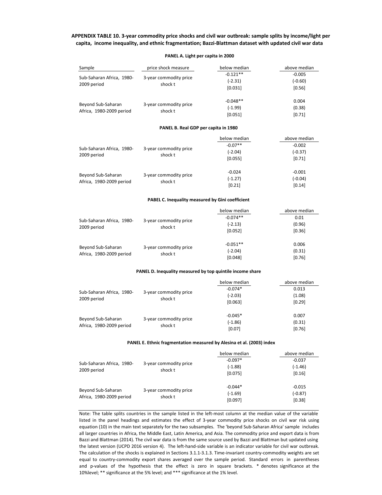#### APPENDIX TABLE 10. 3-year commodity price shocks and civil war outbreak: sample splits by income/light per **capita, income inequality, and ethnic fragmentation; Bazzi-Blattman dataset with updated civil war data**

#### price shock measure below median above median ‐0.121\*\* ‐0.005 (‐2.31) (‐0.60)  $[0.031]$   $[0.56]$ ‐0.048\*\* 0.004  $(-1.99)$  (0.38)  $[0.051]$  [0.71] below median above median ‐0.07\*\* ‐0.002 (‐2.04) (‐0.37) [0.055] [0.71] ‐0.024 ‐0.001  $(-1.27)$   $(-0.04)$  $[0.21]$   $[0.14]$ below median above median ‐0.074\*\* 0.01 (‐2.13) (0.96)  $[0.052]$  [0.36] ‐0.051\*\* 0.006 (‐2.04) (0.31) [0.048] [0.76] Beyond Sub‐Saharan Africa, 1980‐2009 period 3‐year commodity price shock t Sub‐Saharan Africa, 1980‐ 2009 period 3‐year commodity price shock t Beyond Sub‐Saharan Africa, 1980‐2009 period 3‐year commodity price shock t **PANEL B. Real GDP per capita in 1980 PABEL C. Inequality measured by Gini coefficient** Sample Sub‐Saharan Africa, 1980‐ 2009 period 3‐year commodity price shock t Beyond Sub‐Saharan Africa, 1980‐2009 period 3‐year commodity price shock t Sub‐Saharan Africa, 1980‐ 2009 period 3‐year commodity price shock t

#### **PANEL A. Light per capita in 2000**

#### **PANEL D. Inequality measured by top quintile income share**

|                                                |                                   | below median | above median |
|------------------------------------------------|-----------------------------------|--------------|--------------|
| Sub-Saharan Africa, 1980-<br>2009 period       | 3-year commodity price            | $-0.074*$    | 0.013        |
|                                                | shock t                           | $(-2.03)$    | (1.08)       |
|                                                |                                   | [0.063]      | [0.29]       |
|                                                |                                   | $-0.045*$    | 0.007        |
| Beyond Sub-Saharan<br>Africa, 1980-2009 period | 3-year commodity price<br>shock t | $(-1.86)$    | (0.31)       |
|                                                |                                   | [0.07]       | [0.76]       |

#### **PANEL E. Ethnic fragmentation measured by Alesina et al. (2003) index**

|                                                |                                   | below median | above median |
|------------------------------------------------|-----------------------------------|--------------|--------------|
| Sub-Saharan Africa, 1980-<br>2009 period       |                                   | $-0.097*$    | $-0.037$     |
|                                                | 3-year commodity price<br>shock t | $(-1.88)$    | $(-1.46)$    |
|                                                |                                   | [0.075]      | [0.16]       |
|                                                |                                   | $-0.044*$    | $-0.015$     |
| Beyond Sub-Saharan<br>Africa, 1980-2009 period | 3-year commodity price<br>shock t | $(-1.69)$    | $(-0.87)$    |
|                                                |                                   | [0.097]      | [0.38]       |

Note: The table splits countries in the sample listed in the left-most column at the median value of the variable listed in the panel headings and estimates the effect of 3‐year commodity price shocks on civil war risk using equation (10) in the main text separately for the two subsamples. The 'beyond Sub‐Saharan Africa' sample includes all larger countries in Africa, the Middle East, Latin America, and Asia. The commodity price and export data is from Bazzi and Blattman (2014). The civil war data is from the same source used by Bazzi and Blattman but updated using the latest version (UCPD 2016 version 4). The left-hand-side variable is an indicator variable for civil war outbreak. The calculation of the shocks is explained in Sections 3.1.1‐3.1.3. Time‐invariant country‐commodity weights are set equal to country‐commodity export shares averaged over the sample period. Standard errors in parentheses and p-values of the hypothesis that the effect is zero in square brackets. \* denotes significance at the 10%level; \*\* significance at the 5% level; and \*\*\* significance at the 1% level.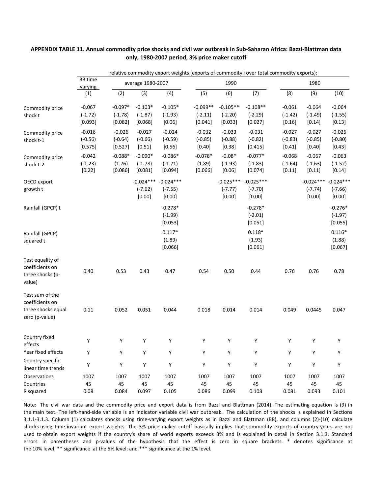### APPENDIX TABLE 11. Annual commodity price shocks and civil war outbreak in Sub-Saharan Africa: Bazzi-Blattman data **only, 1980‐2007 period, 3% price maker cutoff**

relative commodity export weights (exports of commodity i over total commodity exports):

|                                                                            | <b>BB</b> time                   |                                   | relative commodity export weights (exports or commodity rover total commodity exports). |                                     |                                    |                                    |                                    |                                   |                                   |                                                |  |
|----------------------------------------------------------------------------|----------------------------------|-----------------------------------|-----------------------------------------------------------------------------------------|-------------------------------------|------------------------------------|------------------------------------|------------------------------------|-----------------------------------|-----------------------------------|------------------------------------------------|--|
|                                                                            | varying                          |                                   | average 1980-2007                                                                       |                                     |                                    | 1990                               |                                    |                                   | 1980                              |                                                |  |
|                                                                            | (1)                              | (2)                               | (3)                                                                                     | (4)                                 | (5)                                | (6)                                | (7)                                | (8)                               | (9)                               | (10)                                           |  |
| Commodity price<br>shock t                                                 | $-0.067$<br>$(-1.72)$<br>[0.093] | $-0.097*$<br>$(-1.78)$<br>[0.082] | $-0.103*$<br>$(-1.87)$<br>[0.068]                                                       | $-0.105*$<br>$(-1.93)$<br>[0.06]    | $-0.099**$<br>$(-2.11)$<br>[0.041] | $-0.105**$<br>$(-2.20)$<br>[0.033] | $-0.108**$<br>$(-2.29)$<br>[0.027] | $-0.061$<br>$(-1.42)$<br>[0.16]   | $-0.064$<br>$(-1.49)$<br>[0.14]   | $-0.064$<br>$(-1.55)$<br>[0.13]                |  |
| Commodity price<br>shock t-1                                               | $-0.016$<br>$(-0.56)$<br>[0.575] | $-0.026$<br>$(-0.64)$<br>[0.527]  | $-0.027$<br>$(-0.66)$<br>$[0.51]$                                                       | $-0.024$<br>$(-0.59)$<br>[0.56]     | $-0.032$<br>$(-0.85)$<br>[0.40]    | $-0.033$<br>$(-0.88)$<br>[0.38]    | $-0.031$<br>$(-0.82)$<br>[0.415]   | $-0.027$<br>$(-0.83)$<br>$[0.41]$ | $-0.027$<br>$(-0.85)$<br>$[0.40]$ | $-0.026$<br>$(-0.80)$<br>[0.43]                |  |
| Commodity price<br>shock t-2                                               | $-0.042$<br>$(-1.23)$<br>[0.22]  | $-0.088*$<br>(1.76)<br>[0.086]    | $-0.090*$<br>$(-1.78)$<br>[0.081]                                                       | $-0.086*$<br>$(-1.71)$<br>$[0.094]$ | $-0.078*$<br>(1.89)<br>[0.066]     | $-0.08*$<br>$(-1.93)$<br>[0.06]    | $-0.077*$<br>$(-1.83)$<br>[0.074]  | $-0.068$<br>$(-1.64)$<br>[0.11]   | $-0.067$<br>$(-1.63)$<br>[0.11]   | $-0.063$<br>$(-1.52)$<br>[0.14]                |  |
| OECD export<br>growth t                                                    |                                  |                                   | $-0.024***$<br>$(-7.62)$<br>[0.00]                                                      | $-0.024***$<br>$(-7.55)$<br>[0.00]  |                                    | $-0.025***$<br>$(-7.77)$<br>[0.00] | $-0.025***$<br>$(-7.70)$<br>[0.00] |                                   | $(-7.74)$<br>[0.00]               | $-0.024***$ $-0.024***$<br>$(-7.66)$<br>[0.00] |  |
| Rainfall (GPCP) t                                                          |                                  |                                   |                                                                                         | $-0.278*$<br>$(-1.99)$<br>[0.053]   |                                    |                                    | $-0.278*$<br>$(-2.01)$<br>[0.051]  |                                   |                                   | $-0.276*$<br>$(-1.97)$<br>[0.055]              |  |
| Rainfall (GPCP)<br>squared t                                               |                                  |                                   |                                                                                         | $0.117*$<br>(1.89)<br>[0.066]       |                                    |                                    | $0.118*$<br>(1.93)<br>[0.061]      |                                   |                                   | $0.116*$<br>(1.88)<br>[0.067]                  |  |
| Test equality of<br>coefficients on<br>three shocks (p-<br>value)          | 0.40                             | 0.53                              | 0.43                                                                                    | 0.47                                | 0.54                               | 0.50                               | 0.44                               | 0.76                              | 0.76                              | 0.78                                           |  |
| Test sum of the<br>coefficients on<br>three shocks equal<br>zero (p-value) | 0.11                             | 0.052                             | 0.051                                                                                   | 0.044                               | 0.018                              | 0.014                              | 0.014                              | 0.049                             | 0.0445                            | 0.047                                          |  |
| Country fixed<br>effects                                                   | Υ                                | Υ                                 | Υ                                                                                       | $\mathsf Y$                         | $\mathsf Y$                        | Υ                                  | Υ                                  | Υ                                 | Υ                                 | Υ                                              |  |
| Year fixed effects                                                         | Υ                                | $\mathsf Y$                       | Υ                                                                                       | $\mathsf Y$                         | $\mathsf Y$                        | $\mathsf Y$                        | Υ                                  | Υ                                 | Υ                                 | Υ                                              |  |
| Country specific<br>linear time trends                                     | Υ                                | Υ                                 | Υ                                                                                       | $\mathsf Y$                         | $\mathsf Y$                        | Υ                                  | Υ                                  | Υ                                 | Υ                                 | Υ                                              |  |
| Observations<br>Countries<br>R squared                                     | 1007<br>45<br>0.08               | 1007<br>45<br>0.084               | 1007<br>45<br>0.097                                                                     | 1007<br>45<br>0.105                 | 1007<br>45<br>0.086                | 1007<br>45<br>0.099                | 1007<br>45<br>0.108                | 1007<br>45<br>0.081               | 1007<br>45<br>0.093               | 1007<br>45<br>0.101                            |  |

Note: The civil war data and the commodity price and export data is from Bazzi and Blattman (2014). The estimating equation is (9) in the main text. The left-hand-side variable is an indicator variable civil war outbreak. The calculation of the shocks is explained in Sections 3.1.1‐3.1.3. Column (1) calculates shocks using time‐varying export weights as in Bazzi and Blattman (BB), and columns (2)‐(10) calculate shocks using time‐invariant export weights. The 3% price maker cutoff basically implies that commodity exports of country‐years are not used to obtain export weights if the country's share of world exports exceeds 3% and is explained in detail in Section 3.1.3. Standard errors in parentheses and p-values of the hypothesis that the effect is zero in square brackets. \* denotes significance at the 10% level; \*\* significance at the 5% level; and \*\*\* significance at the 1% level.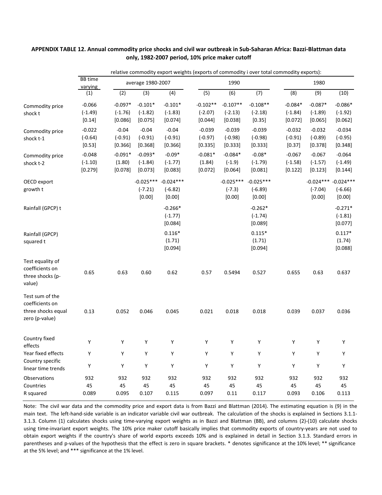|                                                                            |                                  | relative commodity export weights (exports of commodity i over total commodity exports): |                                    |                                    |                                    |                                    |                                    |                                   |                                    |                                    |  |  |
|----------------------------------------------------------------------------|----------------------------------|------------------------------------------------------------------------------------------|------------------------------------|------------------------------------|------------------------------------|------------------------------------|------------------------------------|-----------------------------------|------------------------------------|------------------------------------|--|--|
|                                                                            | <b>BB</b> time                   |                                                                                          | average 1980-2007                  |                                    |                                    | 1990                               |                                    |                                   | 1980                               |                                    |  |  |
|                                                                            | varying<br>(1)                   | (2)                                                                                      | (3)                                | (4)                                | (5)                                | (6)                                | (7)                                | (8)                               | (9)                                | (10)                               |  |  |
| Commodity price<br>shock t                                                 | $-0.066$<br>$(-1.49)$<br>[0.14]  | $-0.097*$<br>$(-1.76)$<br>[0.086]                                                        | $-0.101*$<br>$(-1.82)$<br>[0.075]  | $-0.101*$<br>$(-1.83)$<br>[0.074]  | $-0.102**$<br>$(-2.07)$<br>[0.044] | $-0.107**$<br>$(-2.13)$<br>[0.038] | $-0.108**$<br>$(-2.18)$<br>[0.35]  | $-0.084*$<br>$(-1.84)$<br>[0.072] | $-0.087*$<br>$(-1.89)$<br>[0.065]  | $-0.086*$<br>$(-1.92)$<br>[0.062]  |  |  |
| Commodity price<br>shock t-1                                               | $-0.022$<br>$(-0.64)$<br>[0.53]  | $-0.04$<br>$(-0.91)$<br>[0.366]                                                          | $-0.04$<br>$(-0.91)$<br>[0.368]    | $-0.04$<br>$(-0.91)$<br>[0.366]    | $-0.039$<br>$(-0.97)$<br>[0.335]   | $-0.039$<br>$(-0.98)$<br>[0.333]   | $-0.039$<br>$(-0.98)$<br>[0.333]   | $-0.032$<br>$(-0.91)$<br>[0.37]   | $-0.032$<br>$(-0.89)$<br>[0.378]   | $-0.034$<br>$(-0.95)$<br>[0.348]   |  |  |
| Commodity price<br>shock t-2                                               | $-0.048$<br>$(-1.10)$<br>[0.279] | $-0.091*$<br>(1.80)<br>[0.078]                                                           | $-0.093*$<br>$(-1.84)$<br>[0.073]  | $-0.09*$<br>$(-1.77)$<br>[0.083]   | $-0.081*$<br>(1.84)<br>[0.072]     | $-0.084*$<br>$(-1.9)$<br>[0.064]   | $-0.08*$<br>$(-1.79)$<br>[0.081]   | $-0.067$<br>$(-1.58)$<br>[0.122]  | $-0.067$<br>$(-1.57)$<br>[0.123]   | $-0.064$<br>$(-1.49)$<br>[0.144]   |  |  |
| OECD export<br>growth t                                                    |                                  |                                                                                          | $-0.025***$<br>$(-7.21)$<br>[0.00] | $-0.024***$<br>$(-6.82)$<br>[0.00] |                                    | $-0.025***$<br>$(-7.3)$<br>[0.00]  | $-0.025***$<br>$(-6.89)$<br>[0.00] |                                   | $-0.024***$<br>$(-7.04)$<br>[0.00] | $-0.024***$<br>$(-6.66)$<br>[0.00] |  |  |
| Rainfall (GPCP) t                                                          |                                  |                                                                                          |                                    | $-0.266*$<br>$(-1.77)$<br>[0.084]  |                                    |                                    | $-0.262*$<br>$(-1.74)$<br>[0.089]  |                                   |                                    | $-0.271*$<br>$(-1.81)$<br>[0.077]  |  |  |
| Rainfall (GPCP)<br>squared t                                               |                                  |                                                                                          |                                    | $0.116*$<br>(1.71)<br>[0.094]      |                                    |                                    | $0.115*$<br>(1.71)<br>[0.094]      |                                   |                                    | $0.117*$<br>(1.74)<br>[0.088]      |  |  |
| Test equality of<br>coefficients on<br>three shocks (p-<br>value)          | 0.65                             | 0.63                                                                                     | 0.60                               | 0.62                               | 0.57                               | 0.5494                             | 0.527                              | 0.655                             | 0.63                               | 0.637                              |  |  |
| Test sum of the<br>coefficients on<br>three shocks equal<br>zero (p-value) | 0.13                             | 0.052                                                                                    | 0.046                              | 0.045                              | 0.021                              | 0.018                              | 0.018                              | 0.039                             | 0.037                              | 0.036                              |  |  |
| Country fixed<br>effects                                                   | Υ                                | Υ                                                                                        | Υ                                  | Υ                                  | Υ                                  | Υ                                  | Υ                                  | Υ                                 | Υ                                  | Υ                                  |  |  |
| Year fixed effects<br>Country specific<br>linear time trends               | Y<br>Υ                           | Y<br>Υ                                                                                   | Υ<br>Υ                             | Υ<br>Υ                             | Υ<br>Υ                             | Υ<br>Υ                             | Υ<br>Υ                             | Y<br>Υ                            | Υ<br>Υ                             | Υ<br>Υ                             |  |  |
| Observations<br>Countries<br>R squared                                     | 932<br>45<br>0.089               | 932<br>45<br>0.095                                                                       | 932<br>45<br>0.107                 | 932<br>45<br>0.115                 | 932<br>45<br>0.097                 | 932<br>45<br>0.11                  | 932<br>45<br>0.117                 | 932<br>45<br>0.093                | 932<br>45<br>0.106                 | 932<br>45<br>0.113                 |  |  |

### APPENDIX TABLE 12. Annual commodity price shocks and civil war outbreak in Sub-Saharan Africa: Bazzi-Blattman data **only, 1982‐2007 period, 10% price maker cutoff**

Note: The civil war data and the commodity price and export data is from Bazzi and Blattman (2014). The estimating equation is (9) in the main text. The left-hand-side variable is an indicator variable civil war outbreak. The calculation of the shocks is explained in Sections 3.1.1-3.1.3. Column (1) calculates shocks using time‐varying export weights as in Bazzi and Blattman (BB), and columns (2)‐(10) calculate shocks using time‐invariant export weights. The 10% price maker cutoff basically implies that commodity exports of country‐years are not used to obtain export weights if the country's share of world exports exceeds 10% and is explained in detail in Section 3.1.3. Standard errors in parentheses and p-values of the hypothesis that the effect is zero in square brackets. \* denotes significance at the 10% level; \*\* significance at the 5% level; and \*\*\* significance at the 1% level.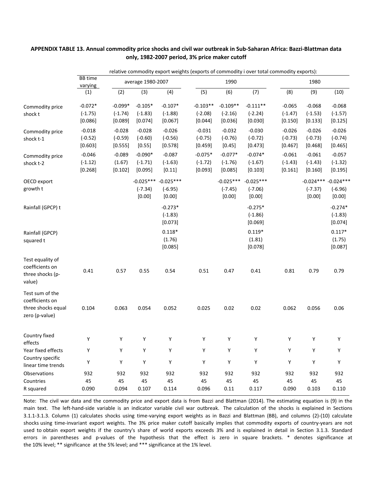|                                                                            |                                   |                                   | relative commodity export weights (exports of commodity i over total commodity exports): |                                    |                                    |                                    |                                    |                                    |                                    |                                    |  |  |
|----------------------------------------------------------------------------|-----------------------------------|-----------------------------------|------------------------------------------------------------------------------------------|------------------------------------|------------------------------------|------------------------------------|------------------------------------|------------------------------------|------------------------------------|------------------------------------|--|--|
|                                                                            | <b>BB</b> time<br>varying         |                                   | average 1980-2007                                                                        |                                    |                                    | 1990                               |                                    |                                    | 1980                               |                                    |  |  |
|                                                                            | (1)                               | (2)                               | (3)                                                                                      | (4)                                | (5)                                | (6)                                | (7)                                | (8)                                | (9)                                | (10)                               |  |  |
| Commodity price<br>shock t                                                 | $-0.072*$<br>$(-1.75)$<br>[0.086] | $-0.099*$<br>$(-1.74)$<br>[0.089] | $-0.105*$<br>$(-1.83)$<br>[0.074]                                                        | $-0.107*$<br>$(-1.88)$<br>[0.067]  | $-0.103**$<br>$(-2.08)$<br>[0.044] | $-0.109**$<br>$(-2.16)$<br>[0.036] | $-0.111**$<br>$(-2.24)$<br>[0.030] | $-0.065$<br>$(-1.47)$<br>$[0.150]$ | $-0.068$<br>$(-1.53)$<br>[0.133]   | $-0.068$<br>$(-1.57)$<br>[0.125]   |  |  |
| Commodity price<br>shock t-1                                               | $-0.018$<br>$(-0.52)$<br>[0.603]  | $-0.028$<br>$(-0.59)$<br>[0.555]  | $-0.028$<br>$(-0.60)$<br>$[0.55]$                                                        | $-0.026$<br>$(-0.56)$<br>[0.578]   | $-0.031$<br>$(-0.75)$<br>$[0.459]$ | $-0.032$<br>$(-0.76)$<br>[0.45]    | $-0.030$<br>$(-0.72)$<br>[0.473]   | $-0.026$<br>$(-0.73)$<br>$[0.467]$ | $-0.026$<br>$(-0.73)$<br>[0.468]   | $-0.026$<br>$(-0.74)$<br>[0.465]   |  |  |
| Commodity price<br>shock t-2                                               | $-0.046$<br>$(-1.12)$<br>[0.268]  | $-0.089$<br>(1.67)<br>[0.102]     | $-0.090*$<br>$(-1.71)$<br>[0.095]                                                        | $-0.087$<br>$(-1.63)$<br>[0.11]    | $-0.075*$<br>$(-1.72)$<br>[0.093]  | $-0.077*$<br>$(-1.76)$<br>[0.085]  | $-0.074*$<br>$(-1.67)$<br>[0.103]  | $-0.061$<br>$(-1.43)$<br>[0.161]   | $-0.061$<br>$(-1.43)$<br>[0.160]   | $-0.057$<br>$(-1.32)$<br>[0.195]   |  |  |
| OECD export<br>growth t                                                    |                                   |                                   | $-0.025***$<br>$(-7.34)$<br>[0.00]                                                       | $-0.025***$<br>$(-6.95)$<br>[0.00] |                                    | $-0.025***$<br>$(-7.45)$<br>[0.00] | $-0.025***$<br>$(-7.06)$<br>[0.00] |                                    | $-0.024***$<br>$(-7.37)$<br>[0.00] | $-0.024***$<br>$(-6.96)$<br>[0.00] |  |  |
| Rainfall (GPCP) t                                                          |                                   |                                   |                                                                                          | $-0.273*$<br>$(-1.83)$<br>[0.073]  |                                    |                                    | $-0.275*$<br>$(-1.86)$<br>[0.069]  |                                    |                                    | $-0.274*$<br>$(-1.83)$<br>[0.074]  |  |  |
| Rainfall (GPCP)<br>squared t                                               |                                   |                                   |                                                                                          | $0.118*$<br>(1.76)<br>[0.085]      |                                    |                                    | $0.119*$<br>(1.81)<br>[0.078]      |                                    |                                    | $0.117*$<br>(1.75)<br>[0.087]      |  |  |
| Test equality of<br>coefficients on<br>three shocks (p-<br>value)          | 0.41                              | 0.57                              | 0.55                                                                                     | 0.54                               | 0.51                               | 0.47                               | 0.41                               | 0.81                               | 0.79                               | 0.79                               |  |  |
| Test sum of the<br>coefficients on<br>three shocks equal<br>zero (p-value) | 0.104                             | 0.063                             | 0.054                                                                                    | 0.052                              | 0.025                              | 0.02                               | 0.02                               | 0.062                              | 0.056                              | 0.06                               |  |  |
| Country fixed<br>effects                                                   | Y                                 | Υ                                 | Y                                                                                        | Υ                                  | Υ                                  | Y                                  | Υ                                  | Y                                  | Υ                                  | Y                                  |  |  |
| Year fixed effects                                                         | Υ                                 | Υ                                 | Y                                                                                        | Υ                                  | Υ                                  | Υ                                  | Υ                                  | Υ                                  | Υ                                  | Υ                                  |  |  |
| Country specific<br>linear time trends                                     | Υ                                 | Υ                                 | Υ                                                                                        | Υ                                  | Υ                                  | Υ                                  | Υ                                  | Υ                                  | Υ                                  | Υ                                  |  |  |
| Observations<br>Countries<br>R squared                                     | 932<br>45<br>0.090                | 932<br>45<br>0.094                | 932<br>45<br>0.107                                                                       | 932<br>45<br>0.114                 | 932<br>45<br>0.096                 | 932<br>45<br>0.11                  | 932<br>45<br>0.117                 | 932<br>45<br>0.090                 | 932<br>45<br>0.103                 | 932<br>45<br>0.110                 |  |  |

APPENDIX TABLE 13. Annual commodity price shocks and civil war outbreak in Sub-Saharan Africa: Bazzi-Blattman data **only, 1982‐2007 period, 3% price maker cutoff**

Note: The civil war data and the commodity price and export data is from Bazzi and Blattman (2014). The estimating equation is (9) in the main text. The left-hand-side variable is an indicator variable civil war outbreak. The calculation of the shocks is explained in Sections 3.1.1‐3.1.3. Column (1) calculates shocks using time‐varying export weights as in Bazzi and Blattman (BB), and columns (2)‐(10) calculate shocks using time‐invariant export weights. The 3% price maker cutoff basically implies that commodity exports of country‐years are not used to obtain export weights if the country's share of world exports exceeds 3% and is explained in detail in Section 3.1.3. Standard errors in parentheses and p-values of the hypothesis that the effect is zero in square brackets. \* denotes significance at the 10% level; \*\* significance at the 5% level; and \*\*\* significance at the 1% level.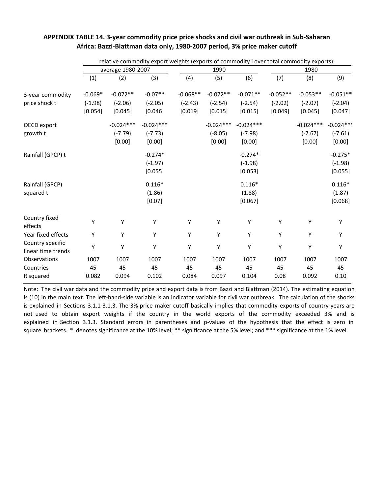|                                        |           | relative commodity export weights (exports of commodity i over total commodity exports): |             |            |             |             |            |             |             |  |  |
|----------------------------------------|-----------|------------------------------------------------------------------------------------------|-------------|------------|-------------|-------------|------------|-------------|-------------|--|--|
|                                        |           | average 1980-2007                                                                        |             |            | 1990        |             | 1980       |             |             |  |  |
|                                        | (1)       | (2)                                                                                      | (3)         | (4)        | (5)         | (6)         | (7)        | (8)         | (9)         |  |  |
| 3-year commodity                       | $-0.069*$ | $-0.072**$                                                                               | $-0.07**$   | $-0.068**$ | $-0.072**$  | $-0.071**$  | $-0.052**$ | $-0.053**$  | $-0.051**$  |  |  |
| price shock t                          | $(-1.98)$ | $(-2.06)$                                                                                | $(-2.05)$   | $(-2.43)$  | $(-2.54)$   | $(-2.54)$   | $(-2.02)$  | $(-2.07)$   | $(-2.04)$   |  |  |
|                                        | [0.054]   | [0.045]                                                                                  | [0.046]     | [0.019]    | [0.015]     | [0.015]     | [0.049]    | [0.045]     | [0.047]     |  |  |
| OECD export                            |           | $-0.024***$                                                                              | $-0.024***$ |            | $-0.024***$ | $-0.024***$ |            | $-0.024***$ | $-0.024***$ |  |  |
| growth t                               |           | $(-7.79)$                                                                                | $(-7.73)$   |            | $(-8.05)$   | $(-7.98)$   |            | $(-7.67)$   | $(-7.61)$   |  |  |
|                                        |           | [0.00]                                                                                   | [0.00]      |            | [0.00]      | [0.00]      |            | [0.00]      | [0.00]      |  |  |
| Rainfall (GPCP) t                      |           |                                                                                          | $-0.274*$   |            |             | $-0.274*$   |            |             | $-0.275*$   |  |  |
|                                        |           |                                                                                          | $(-1.97)$   |            |             | $(-1.98)$   |            |             | $(-1.98)$   |  |  |
|                                        |           |                                                                                          | [0.055]     |            |             | [0.053]     |            |             | [0.055]     |  |  |
| Rainfall (GPCP)                        |           |                                                                                          | $0.116*$    |            |             | $0.116*$    |            |             | $0.116*$    |  |  |
| squared t                              |           |                                                                                          | (1.86)      |            |             | (1.88)      |            |             | (1.87)      |  |  |
|                                        |           |                                                                                          | [0.07]      |            |             | [0.067]     |            |             | [0.068]     |  |  |
| Country fixed<br>effects               | Y         | Υ                                                                                        | Y           | Y          | Υ           | Y           | Υ          | Υ           | Υ           |  |  |
| Year fixed effects                     | Y         | Υ                                                                                        | Υ           | Υ          | Υ           | Υ           | Υ          | Υ           | Y           |  |  |
| Country specific<br>linear time trends | Υ         | Υ                                                                                        | Υ           | Υ          | Υ           | Υ           | Υ          | Υ           | Y           |  |  |
| Observations                           | 1007      | 1007                                                                                     | 1007        | 1007       | 1007        | 1007        | 1007       | 1007        | 1007        |  |  |
| Countries                              | 45        | 45                                                                                       | 45          | 45         | 45          | 45          | 45         | 45          | 45          |  |  |
| R squared                              | 0.082     | 0.094                                                                                    | 0.102       | 0.084      | 0.097       | 0.104       | 0.08       | 0.092       | 0.10        |  |  |

### APPENDIX TABLE 14. 3-year commodity price price shocks and civil war outbreak in Sub-Saharan **Africa: Bazzi‐Blattman data only, 1980‐2007 period, 3% price maker cutoff**

Note: The civil war data and the commodity price and export data is from Bazzi and Blattman (2014). The estimating equation is (10) in the main text. The left-hand-side variable is an indicator variable for civil war outbreak. The calculation of the shocks is explained in Sections 3.1.1-3.1.3. The 3% price maker cutoff basically implies that commodity exports of country-years are not used to obtain export weights if the country in the world exports of the commodity exceeded 3% and is explained in Section 3.1.3. Standard errors in parentheses and p-values of the hypothesis that the effect is zero in square brackets. \* denotes significance at the 10% level; \*\* significance at the 5% level; and \*\*\* significance at the 1% level.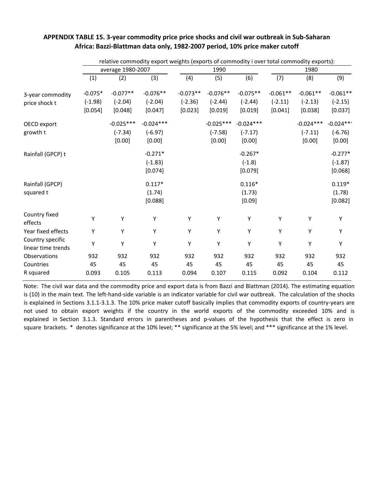|                                        |           | relative commodity export weights (exports of commodity i over total commodity exports): |             |            |             |             |            |             |             |  |  |
|----------------------------------------|-----------|------------------------------------------------------------------------------------------|-------------|------------|-------------|-------------|------------|-------------|-------------|--|--|
|                                        |           | average 1980-2007                                                                        |             |            | 1990        |             | 1980       |             |             |  |  |
|                                        | (1)       | (2)                                                                                      | (3)         | (4)        | (5)         | (6)         | (7)        | (8)         | (9)         |  |  |
| 3-year commodity                       | $-0.075*$ | $-0.077**$                                                                               | $-0.076**$  | $-0.073**$ | $-0.076**$  | $-0.075**$  | $-0.061**$ | $-0.061**$  | $-0.061**$  |  |  |
| price shock t                          | $(-1.98)$ | $(-2.04)$                                                                                | $(-2.04)$   | $(-2.36)$  | $(-2.44)$   | $(-2.44)$   | $(-2.11)$  | $(-2.13)$   | $(-2.15)$   |  |  |
|                                        | [0.054]   | [0.048]                                                                                  | [0.047]     | [0.023]    | [0.019]     | [0.019]     | [0.041]    | [0.038]     | [0.037]     |  |  |
| OECD export                            |           | $-0.025***$                                                                              | $-0.024***$ |            | $-0.025***$ | $-0.024***$ |            | $-0.024***$ | $-0.024***$ |  |  |
| growth t                               |           | $(-7.34)$                                                                                | $(-6.97)$   |            | $(-7.58)$   | $(-7.17)$   |            | $(-7.11)$   | $(-6.76)$   |  |  |
|                                        |           | [0.00]                                                                                   | [0.00]      |            | [0.00]      | [0.00]      |            | [0.00]      | [0.00]      |  |  |
| Rainfall (GPCP) t                      |           |                                                                                          | $-0.271*$   |            |             | $-0.267*$   |            |             | $-0.277*$   |  |  |
|                                        |           |                                                                                          | $(-1.83)$   |            |             | $(-1.8)$    |            |             | $(-1.87)$   |  |  |
|                                        |           |                                                                                          | [0.074]     |            |             | [0.079]     |            |             | [0.068]     |  |  |
| Rainfall (GPCP)                        |           |                                                                                          | $0.117*$    |            |             | $0.116*$    |            |             | $0.119*$    |  |  |
| squared t                              |           |                                                                                          | (1.74)      |            |             | (1.73)      |            |             | (1.78)      |  |  |
|                                        |           |                                                                                          | [0.088]     |            |             | [0.09]      |            |             | [0.082]     |  |  |
| Country fixed<br>effects               | Υ         | Υ                                                                                        | Y           | Υ          | Υ           | Y           | Υ          | Y           | Υ           |  |  |
| Year fixed effects                     | Y         | Υ                                                                                        | Y           | Y          | Υ           | Y           | Υ          | Υ           | Υ           |  |  |
| Country specific<br>linear time trends | Υ         | Υ                                                                                        | Υ           | Υ          | Υ           | Υ           | Υ          | Y           | Υ           |  |  |
| Observations                           | 932       | 932                                                                                      | 932         | 932        | 932         | 932         | 932        | 932         | 932         |  |  |
| Countries                              | 45        | 45                                                                                       | 45          | 45         | 45          | 45          | 45         | 45          | 45          |  |  |
| R squared                              | 0.093     | 0.105                                                                                    | 0.113       | 0.094      | 0.107       | 0.115       | 0.092      | 0.104       | 0.112       |  |  |

### APPENDIX TABLE 15. 3-year commodity price price shocks and civil war outbreak in Sub-Saharan **Africa: Bazzi‐Blattman data only, 1982‐2007 period, 10% price maker cutoff**

Note: The civil war data and the commodity price and export data is from Bazzi and Blattman (2014). The estimating equation is (10) in the main text. The left-hand-side variable is an indicator variable for civil war outbreak. The calculation of the shocks is explained in Sections 3.1.1-3.1.3. The 10% price maker cutoff basically implies that commodity exports of country-years are not used to obtain export weights if the country in the world exports of the commodity exceeded 10% and is explained in Section 3.1.3. Standard errors in parentheses and p-values of the hypothesis that the effect is zero in square brackets. \* denotes significance at the 10% level; \*\* significance at the 5% level; and \*\*\* significance at the 1% level.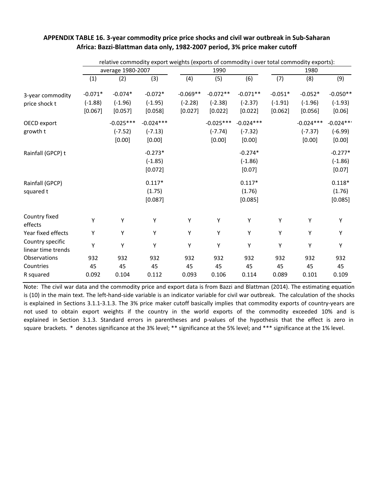|                          |           |                   | relative commodity export weights (exports of commodity i over total commodity exports): |            |             |             |           |             |             |
|--------------------------|-----------|-------------------|------------------------------------------------------------------------------------------|------------|-------------|-------------|-----------|-------------|-------------|
|                          |           | average 1980-2007 |                                                                                          |            | 1990        |             |           | 1980        |             |
|                          | (1)       | (2)               | (3)                                                                                      | (4)        | (5)         | (6)         | (7)       | (8)         | (9)         |
| 3-year commodity         | $-0.071*$ | $-0.074*$         | $-0.072*$                                                                                | $-0.069**$ | $-0.072**$  | $-0.071**$  | $-0.051*$ | $-0.052*$   | $-0.050**$  |
| price shock t            | $(-1.88)$ | $(-1.96)$         | $(-1.95)$                                                                                | $(-2.28)$  | $(-2.38)$   | $(-2.37)$   | $(-1.91)$ | $(-1.96)$   | $(-1.93)$   |
|                          | [0.067]   | [0.057]           | [0.058]                                                                                  | [0.027]    | [0.022]     | [0.022]     | [0.062]   | [0.056]     | [0.06]      |
| OECD export              |           | $-0.025***$       | $-0.024***$                                                                              |            | $-0.025***$ | $-0.024***$ |           | $-0.024***$ | $-0.024***$ |
| growth t                 |           | $(-7.52)$         | $(-7.13)$                                                                                |            | $(-7.74)$   | $(-7.32)$   |           | $(-7.37)$   | $(-6.99)$   |
|                          |           | [0.00]            | [0.00]                                                                                   |            | [0.00]      | [0.00]      |           | [0.00]      | [0.00]      |
| Rainfall (GPCP) t        |           |                   | $-0.273*$                                                                                |            |             | $-0.274*$   |           |             | $-0.277*$   |
|                          |           |                   | $(-1.85)$                                                                                |            |             | $(-1.86)$   |           |             | $(-1.86)$   |
|                          |           |                   | [0.072]                                                                                  |            |             | [0.07]      |           |             | [0.07]      |
| Rainfall (GPCP)          |           |                   | $0.117*$                                                                                 |            |             | $0.117*$    |           |             | $0.118*$    |
| squared t                |           |                   | (1.75)                                                                                   |            |             | (1.76)      |           |             | (1.76)      |
|                          |           |                   | [0.087]                                                                                  |            |             | [0.085]     |           |             | [0.085]     |
| Country fixed<br>effects | Υ         | Υ                 | Y                                                                                        | Υ          | Υ           | Υ           | Υ         | Υ           | Υ           |
| Year fixed effects       | Υ         | Υ                 | Υ                                                                                        | Υ          | Υ           | Υ           | Υ         | Υ           | Υ           |
| Country specific         |           |                   |                                                                                          |            |             |             |           |             |             |
| linear time trends       | Υ         | Υ                 | Υ                                                                                        | Υ          | Υ           | Υ           | Υ         | Υ           | Υ           |
| Observations             | 932       | 932               | 932                                                                                      | 932        | 932         | 932         | 932       | 932         | 932         |
| Countries                | 45        | 45                | 45                                                                                       | 45         | 45          | 45          | 45        | 45          | 45          |
| R squared                | 0.092     | 0.104             | 0.112                                                                                    | 0.093      | 0.106       | 0.114       | 0.089     | 0.101       | 0.109       |

### APPENDIX TABLE 16. 3-year commodity price price shocks and civil war outbreak in Sub-Saharan **Africa: Bazzi‐Blattman data only, 1982‐2007 period, 3% price maker cutoff**

Note: The civil war data and the commodity price and export data is from Bazzi and Blattman (2014). The estimating equation is (10) in the main text. The left-hand-side variable is an indicator variable for civil war outbreak. The calculation of the shocks is explained in Sections 3.1.1-3.1.3. The 3% price maker cutoff basically implies that commodity exports of country-years are not used to obtain export weights if the country in the world exports of the commodity exceeded 10% and is explained in Section 3.1.3. Standard errors in parentheses and p-values of the hypothesis that the effect is zero in square brackets. \* denotes significance at the 3% level; \*\* significance at the 5% level; and \*\*\* significance at the 1% level.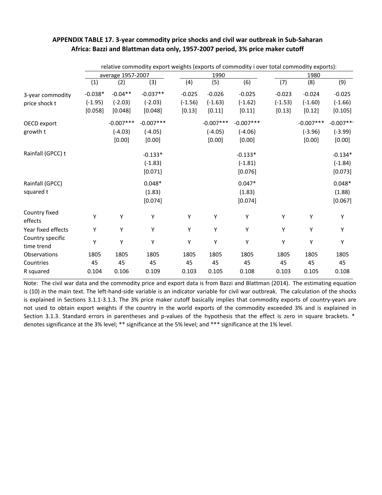### **APPENDIX TABLE 17. 3‐year commodity price shocks and civil war outbreak in Sub‐Saharan Africa: Bazzi and Blattman data only, 1957‐2007 period, 3% price maker cutoff**

|                                |           | relative commodity export weights (exports of commodity i over total commodity exports): |             |           |             |             |           |             |            |
|--------------------------------|-----------|------------------------------------------------------------------------------------------|-------------|-----------|-------------|-------------|-----------|-------------|------------|
|                                |           | average 1957-2007                                                                        |             |           | 1990        |             |           | 1980        |            |
|                                | (1)       | (2)                                                                                      | (3)         | (4)       | (5)         | (6)         | (7)       | (8)         | (9)        |
| 3-year commodity               | $-0.038*$ | $-0.04**$                                                                                | $-0.037**$  | $-0.025$  | $-0.026$    | $-0.025$    | $-0.023$  | $-0.024$    | $-0.025$   |
| price shock t                  | $(-1.95)$ | $(-2.03)$                                                                                | $(-2.03)$   | $(-1.56)$ | $(-1.63)$   | $(-1.62)$   | $(-1.53)$ | $(-1.60)$   | $(-1.66)$  |
|                                | [0.058]   | [0.048]                                                                                  | [0.048]     | [0.13]    | [0.11]      | [0.11]      | [0.13]    | [0.12]      | [0.105]    |
| OECD export                    |           | $-0.007***$                                                                              | $-0.007***$ |           | $-0.007***$ | $-0.007***$ |           | $-0.007***$ | $-0.007**$ |
| growth t                       |           | $(-4.03)$                                                                                | $(-4.05)$   |           | $(-4.05)$   | $(-4.06)$   |           | $(-3.96)$   | $(-3.99)$  |
|                                |           | [0.00]                                                                                   | [0.00]      |           | [0.00]      | [0.00]      |           | [0.00]      | [0.00]     |
| Rainfall (GPCC) t              |           |                                                                                          | $-0.133*$   |           |             | $-0.133*$   |           |             | $-0.134*$  |
|                                |           |                                                                                          | $(-1.83)$   |           |             | $(-1.81)$   |           |             | $(-1.84)$  |
|                                |           |                                                                                          | [0.071]     |           |             | [0.076]     |           |             | [0.073]    |
| Rainfall (GPCC)                |           |                                                                                          | $0.048*$    |           |             | $0.047*$    |           |             | $0.048*$   |
| squared t                      |           |                                                                                          | (1.83)      |           |             | (1.83)      |           |             | (1.88)     |
|                                |           |                                                                                          | [0.074]     |           |             | [0.074]     |           |             | [0.067]    |
| Country fixed<br>effects       | Υ         | Υ                                                                                        | Υ           | Υ         | Υ           | Υ           | Υ         | Y           | Υ          |
| Year fixed effects             | Υ         | Υ                                                                                        | Υ           | Υ         | Υ           | Υ           | Υ         | Υ           | Y          |
| Country specific<br>time trend | Υ         | Υ                                                                                        | Υ           | Υ         | Υ           | Υ           | Υ         | Y           | Υ          |
| Observations                   | 1805      | 1805                                                                                     | 1805        | 1805      | 1805        | 1805        | 1805      | 1805        | 1805       |
| Countries                      | 45        | 45                                                                                       | 45          | 45        | 45          | 45          | 45        | 45          | 45         |
| R squared                      | 0.104     | 0.106                                                                                    | 0.109       | 0.103     | 0.105       | 0.108       | 0.103     | 0.105       | 0.108      |

Note: The civil war data and the commodity price and export data is from Bazzi and Blattman (2014). The estimating equation is (10) in the main text. The left-hand-side variable is an indicator variable for civil war outbreak. The calculation of the shocks is explained in Sections 3.1.1‐3.1.3. The 3% price maker cutoff basically implies that commodity exports of country‐years are not used to obtain export weights if the country in the world exports of the commodity exceeded 3% and is explained in Section 3.1.3. Standard errors in parentheses and p-values of the hypothesis that the effect is zero in square brackets. \* denotes significance at the 3% level; \*\* significance at the 5% level; and \*\*\* significance at the 1% level.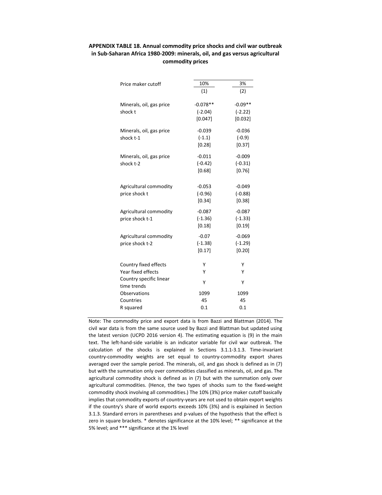### **APPENDIX TABLE 18. Annual commodity price shocks and civil war outbreak in Sub‐Saharan Africa 1980‐2009: minerals, oil, and gas versus agricultural commodity prices**

| Price maker cutoff                     | 10%        | 3%        |
|----------------------------------------|------------|-----------|
|                                        | (1)        | (2)       |
| Minerals, oil, gas price               | $-0.078**$ | $-0.09**$ |
| shock t                                | $(-2.04)$  | $(-2.22)$ |
|                                        | [0.047]    | [0.032]   |
| Minerals, oil, gas price               | $-0.039$   | $-0.036$  |
| shock t-1                              | $(-1.1)$   | $(-0.9)$  |
|                                        | [0.28]     | [0.37]    |
| Minerals, oil, gas price               | $-0.011$   | $-0.009$  |
| shock t-2                              | $(-0.42)$  | $(-0.31)$ |
|                                        | [0.68]     | [0.76]    |
| Agricultural commodity                 | $-0.053$   | $-0.049$  |
| price shock t                          | $(-0.96)$  | $(-0.88)$ |
|                                        | [0.34]     | [0.38]    |
| Agricultural commodity                 | $-0.087$   | $-0.087$  |
| price shock t-1                        | $(-1.36)$  | $(-1.33)$ |
|                                        | [0.18]     | [0.19]    |
| Agricultural commodity                 | $-0.07$    | $-0.069$  |
| price shock t-2                        | $(-1.38)$  | $(-1.29)$ |
|                                        | [0.17]     | [0.20]    |
| Country fixed effects                  | Υ          | Υ         |
| Year fixed effects                     | Υ          | Υ         |
| Country specific linear<br>time trends | Υ          | Υ         |
| Observations                           | 1099       | 1099      |
| Countries                              | 45         | 45        |
| R squared                              | 0.1        | 0.1       |
|                                        |            |           |

Note: The commodity price and export data is from Bazzi and Blattman (2014). The civil war data is from the same source used by Bazzi and Blattman but updated using the latest version (UCPD 2016 version 4). The estimating equation is (9) in the main text. The left-hand-side variable is an indicator variable for civil war outbreak. The calculation of the shocks is explained in Sections 3.1.1‐3.1.3. Time‐invariant country‐commodity weights are set equal to country‐commodity export shares averaged over the sample period. The minerals, oil, and gas shock is defined as in (7) but with the summation only over commodities classified as minerals, oil, and gas. The agricultural commodity shock is defined as in (7) but with the summation only over agricultural commodities. (Hence, the two types of shocks sum to the fixed‐weight commodity shock involving all commodities.) The 10% (3%) price maker cutoff basically implies that commodity exports of country‐years are not used to obtain export weights if the country's share of world exports exceeds 10% (3%) and is explained in Section 3.1.3. Standard errors in parentheses and p-values of the hypothesis that the effect is zero in square brackets. \* denotes significance at the 10% level; \*\* significance at the 5% level; and \*\*\* significance at the 1% level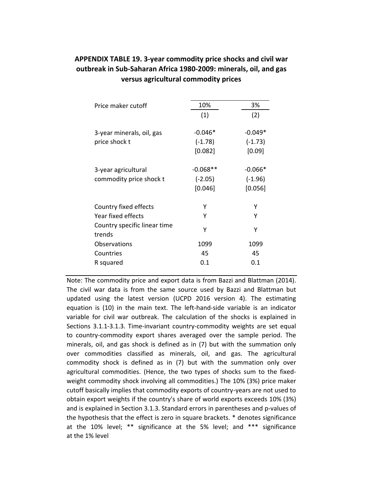| Price maker cutoff                             | 10%                                | 3%                                |
|------------------------------------------------|------------------------------------|-----------------------------------|
|                                                | (1)                                | (2)                               |
| 3-year minerals, oil, gas<br>price shock t     | $-0.046*$<br>$(-1.78)$<br>[0.082]  | $-0.049*$<br>$(-1.73)$<br>[0.09]  |
| 3-year agricultural<br>commodity price shock t | $-0.068**$<br>$(-2.05)$<br>[0.046] | $-0.066*$<br>$(-1.96)$<br>[0.056] |
| Country fixed effects                          | Υ                                  | γ                                 |
| Year fixed effects                             | Y                                  | γ                                 |
| Country specific linear time<br>trends         | γ                                  | γ                                 |
| Observations                                   | 1099                               | 1099                              |
| Countries                                      | 45                                 | 45                                |
| R squared                                      | 0.1                                | 0.1                               |
|                                                |                                    |                                   |

### **APPENDIX TABLE 19. 3‐year commodity price shocks and civil war outbreak in Sub‐Saharan Africa 1980‐2009: minerals, oil, and gas versus agricultural commodity prices**

Note: The commodity price and export data is from Bazzi and Blattman (2014). The civil war data is from the same source used by Bazzi and Blattman but updated using the latest version (UCPD 2016 version 4). The estimating equation is (10) in the main text. The left-hand-side variable is an indicator variable for civil war outbreak. The calculation of the shocks is explained in Sections 3.1.1‐3.1.3. Time‐invariant country‐commodity weights are set equal to country‐commodity export shares averaged over the sample period. The minerals, oil, and gas shock is defined as in (7) but with the summation only over commodities classified as minerals, oil, and gas. The agricultural commodity shock is defined as in (7) but with the summation only over agricultural commodities. (Hence, the two types of shocks sum to the fixed‐ weight commodity shock involving all commodities.) The 10% (3%) price maker cutoff basically implies that commodity exports of country‐years are not used to obtain export weights if the country's share of world exports exceeds 10% (3%) and is explained in Section 3.1.3. Standard errors in parentheses and p-values of the hypothesis that the effect is zero in square brackets. \* denotes significance at the 10% level; \*\* significance at the 5% level; and \*\*\* significance at the 1% level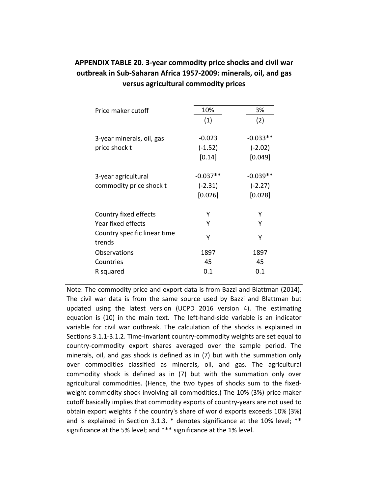### **APPENDIX TABLE 20. 3‐year commodity price shocks and civil war outbreak in Sub‐Saharan Africa 1957‐2009: minerals, oil, and gas versus agricultural commodity prices**

| Price maker cutoff                     | 10%       | 3%         |
|----------------------------------------|-----------|------------|
|                                        | (1)       | (2)        |
| 3-year minerals, oil, gas              | $-0.023$  | $-0.033**$ |
| price shock t                          | $(-1.52)$ | $(-2.02)$  |
|                                        | [0.14]    | [0.049]    |
| 3-year agricultural                    | -0.037**  | -0.039**   |
| commodity price shock t                | $(-2.31)$ | $(-2.27)$  |
|                                        | [0.026]   | [0.028]    |
| Country fixed effects                  | Υ         | γ          |
| Year fixed effects                     | Υ         | γ          |
| Country specific linear time<br>trends | γ         | γ          |
| Observations                           | 1897      | 1897       |
| Countries                              | 45        | 45         |
| R squared                              | 0.1       | 0.1        |
|                                        |           |            |

Note: The commodity price and export data is from Bazzi and Blattman (2014). The civil war data is from the same source used by Bazzi and Blattman but updated using the latest version (UCPD 2016 version 4). The estimating equation is (10) in the main text. The left-hand-side variable is an indicator variable for civil war outbreak. The calculation of the shocks is explained in Sections 3.1.1‐3.1.2. Time‐invariant country‐commodity weights are set equal to country‐commodity export shares averaged over the sample period. The minerals, oil, and gas shock is defined as in (7) but with the summation only over commodities classified as minerals, oil, and gas. The agricultural commodity shock is defined as in (7) but with the summation only over agricultural commodities. (Hence, the two types of shocks sum to the fixed‐ weight commodity shock involving all commodities.) The 10% (3%) price maker cutoff basically implies that commodity exports of country‐years are not used to obtain export weights if the country's share of world exports exceeds 10% (3%) and is explained in Section 3.1.3. \* denotes significance at the 10% level; \*\* significance at the 5% level; and \*\*\* significance at the 1% level.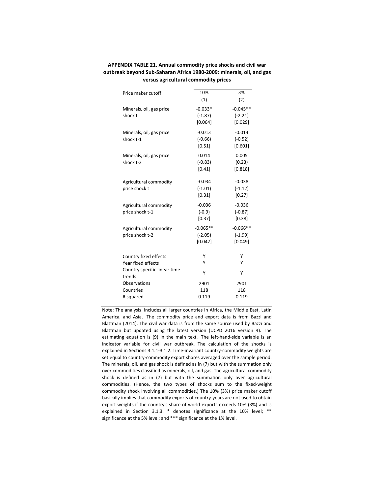| Price maker cutoff           | 10%        | 3%         |
|------------------------------|------------|------------|
|                              | (1)        | (2)        |
| Minerals, oil, gas price     | $-0.033*$  | $-0.045**$ |
| shock t                      | $(-1.87)$  | $(-2.21)$  |
|                              | [0.064]    | [0.029]    |
| Minerals, oil, gas price     | $-0.013$   | $-0.014$   |
| shock t-1                    | $(-0.66)$  | $(-0.52)$  |
|                              | [0.51]     | [0.601]    |
| Minerals, oil, gas price     | 0.014      | 0.005      |
| shock t-2                    | $(-0.83)$  | (0.23)     |
|                              | [0.41]     | [0.818]    |
| Agricultural commodity       | $-0.034$   | $-0.038$   |
| price shock t                | $(-1.01)$  | $(-1.12)$  |
|                              | [0.31]     | [0.27]     |
| Agricultural commodity       | $-0.036$   | $-0.036$   |
| price shock t-1              | $(-0.9)$   | $(-0.87)$  |
|                              | [0.37]     | [0.38]     |
| Agricultural commodity       | $-0.065**$ | $-0.066**$ |
| price shock t-2              | $(-2.05)$  | $(-1.99)$  |
|                              | [0.042]    | [0.049]    |
| Country fixed effects        | Υ          | Y          |
| Year fixed effects           | Υ          | Υ          |
| Country specific linear time |            |            |
| trends                       | Υ          | Υ          |
| Observations                 | 2901       | 2901       |
| Countries                    | 118        | 118        |
| R squared                    | 0.119      | 0.119      |

### **APPENDIX TABLE 21. Annual commodity price shocks and civil war outbreak beyond Sub‐Saharan Africa 1980‐2009: minerals, oil, and gas versus agricultural commodity prices**

Note: The analysis includes all larger countries in Africa, the Middle East, Latin America, and Asia. The commodity price and export data is from Bazzi and Blattman (2014). The civil war data is from the same source used by Bazzi and Blattman but updated using the latest version (UCPD 2016 version 4). The estimating equation is (9) in the main text. The left-hand-side variable is an indicator variable for civil war outbreak. The calculation of the shocks is explained in Sections 3.1.1‐3.1.2. Time‐invariant country‐commodity weights are set equal to country‐commodity export shares averaged over the sample period. The minerals, oil, and gas shock is defined as in (7) but with the summation only over commodities classified as minerals, oil, and gas. The agricultural commodity shock is defined as in (7) but with the summation only over agricultural commodities. (Hence, the two types of shocks sum to the fixed‐weight commodity shock involving all commodities.) The 10% (3%) price maker cutoff basically implies that commodity exports of country‐years are not used to obtain export weights if the country's share of world exports exceeds 10% (3%) and is explained in Section 3.1.3. \* denotes significance at the 10% level; \*\* significance at the 5% level; and \*\*\* significance at the 1% level.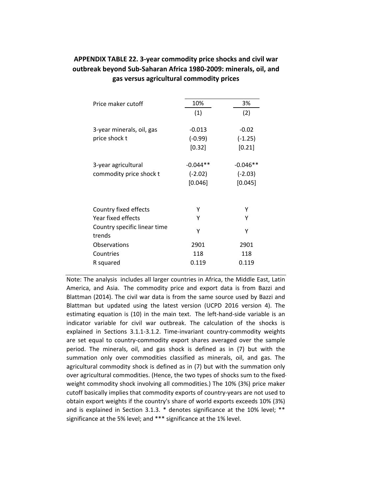| Price maker cutoff                                                                    | 10%                                | 3%                                 |
|---------------------------------------------------------------------------------------|------------------------------------|------------------------------------|
|                                                                                       | (1)                                | (2)                                |
| 3-year minerals, oil, gas<br>price shock t                                            | $-0.013$<br>$(-0.99)$<br>[0.32]    | $-0.02$<br>$(-1.25)$<br>[0.21]     |
| 3-year agricultural<br>commodity price shock t                                        | $-0.044**$<br>$(-2.02)$<br>[0.046] | $-0.046**$<br>$(-2.03)$<br>[0.045] |
| Country fixed effects<br>Year fixed effects<br>Country specific linear time<br>trends | Y<br>γ<br>γ                        | γ<br>γ<br>γ                        |
| Observations<br>Countries<br>R squared                                                | 2901<br>118<br>0.119               | 2901<br>118<br>0.119               |

### **APPENDIX TABLE 22. 3‐year commodity price shocks and civil war outbreak beyond Sub‐Saharan Africa 1980‐2009: minerals, oil, and gas versus agricultural commodity prices**

Note: The analysis includes all larger countries in Africa, the Middle East, Latin America, and Asia. The commodity price and export data is from Bazzi and Blattman (2014). The civil war data is from the same source used by Bazzi and Blattman but updated using the latest version (UCPD 2016 version 4). The estimating equation is (10) in the main text. The left-hand-side variable is an indicator variable for civil war outbreak. The calculation of the shocks is explained in Sections 3.1.1‐3.1.2. Time‐invariant country‐commodity weights are set equal to country‐commodity export shares averaged over the sample period. The minerals, oil, and gas shock is defined as in (7) but with the summation only over commodities classified as minerals, oil, and gas. The agricultural commodity shock is defined as in (7) but with the summation only over agricultural commodities. (Hence, the two types of shocks sum to the fixed‐ weight commodity shock involving all commodities.) The 10% (3%) price maker cutoff basically implies that commodity exports of country‐years are not used to obtain export weights if the country's share of world exports exceeds 10% (3%) and is explained in Section 3.1.3. \* denotes significance at the 10% level; \*\* significance at the 5% level; and \*\*\* significance at the 1% level.